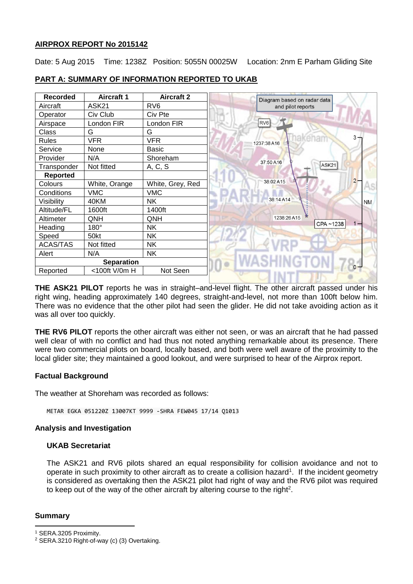# **AIRPROX REPORT No 2015142**

Date: 5 Aug 2015 Time: 1238Z Position: 5055N 00025W Location: 2nm E Parham Gliding Site

| <b>Recorded</b>   | <b>Aircraft 1</b> | <b>Aircraft 2</b> | Diagram based on radar data |           |
|-------------------|-------------------|-------------------|-----------------------------|-----------|
| Aircraft          | ASK21             | RV <sub>6</sub>   | and pilot reports           |           |
| Operator          | Civ Club          | Civ Pte           |                             |           |
| Airspace          | London FIR        | London FIR        | RV <sub>6</sub>             |           |
| Class             | G                 | G                 |                             |           |
| Rules             | <b>VFR</b>        | <b>VFR</b>        | 1237:38 A16                 | 3.        |
| Service           | None              | <b>Basic</b>      |                             |           |
| Provider          | N/A               | Shoreham          | 37:50 A16                   |           |
| Transponder       | Not fitted        | A, C, S           | ASK21                       |           |
| <b>Reported</b>   |                   |                   |                             |           |
| Colours           | White, Orange     | White, Grey, Red  | 38:02 A15                   | $2 -$     |
| Conditions        | <b>VMC</b>        | <b>VMC</b>        |                             |           |
| Visibility        | 40KM              | <b>NK</b>         | 38:14 A14                   | <b>NM</b> |
| Altitude/FL       | 1600ft            | 1400ft            |                             |           |
| Altimeter         | QNH               | QNH               | 1238:26A15                  |           |
| Heading           | 180°              | <b>NK</b>         | CPA~1238                    |           |
| Speed             | 50kt              | <b>NK</b>         |                             |           |
| <b>ACAS/TAS</b>   | Not fitted        | <b>NK</b>         |                             |           |
| Alert             | N/A               | <b>NK</b>         |                             |           |
| <b>Separation</b> |                   |                   |                             |           |
| Reported          | <100ft V/0m H     | Not Seen          |                             |           |
|                   |                   |                   |                             |           |

# **PART A: SUMMARY OF INFORMATION REPORTED TO UKAB**

**THE ASK21 PILOT** reports he was in straight–and-level flight. The other aircraft passed under his right wing, heading approximately 140 degrees, straight-and-level, not more than 100ft below him. There was no evidence that the other pilot had seen the glider. He did not take avoiding action as it was all over too quickly.

**THE RV6 PILOT** reports the other aircraft was either not seen, or was an aircraft that he had passed well clear of with no conflict and had thus not noted anything remarkable about its presence. There were two commercial pilots on board, locally based, and both were well aware of the proximity to the local glider site; they maintained a good lookout, and were surprised to hear of the Airprox report.

## **Factual Background**

The weather at Shoreham was recorded as follows:

METAR EGKA 051220Z 13007KT 9999 -SHRA FEW045 17/14 Q1013

## **Analysis and Investigation**

## **UKAB Secretariat**

The ASK21 and RV6 pilots shared an equal responsibility for collision avoidance and not to operate in such proximity to other aircraft as to create a collision hazard<sup>1</sup>. If the incident geometry is considered as overtaking then the ASK21 pilot had right of way and the RV6 pilot was required to keep out of the way of the other aircraft by altering course to the right<sup>2</sup>.

## **Summary**

 $\overline{\phantom{a}}$ 

<sup>1</sup> SERA.3205 Proximity.

<sup>2</sup> SERA.3210 Right-of-way (c) (3) Overtaking.